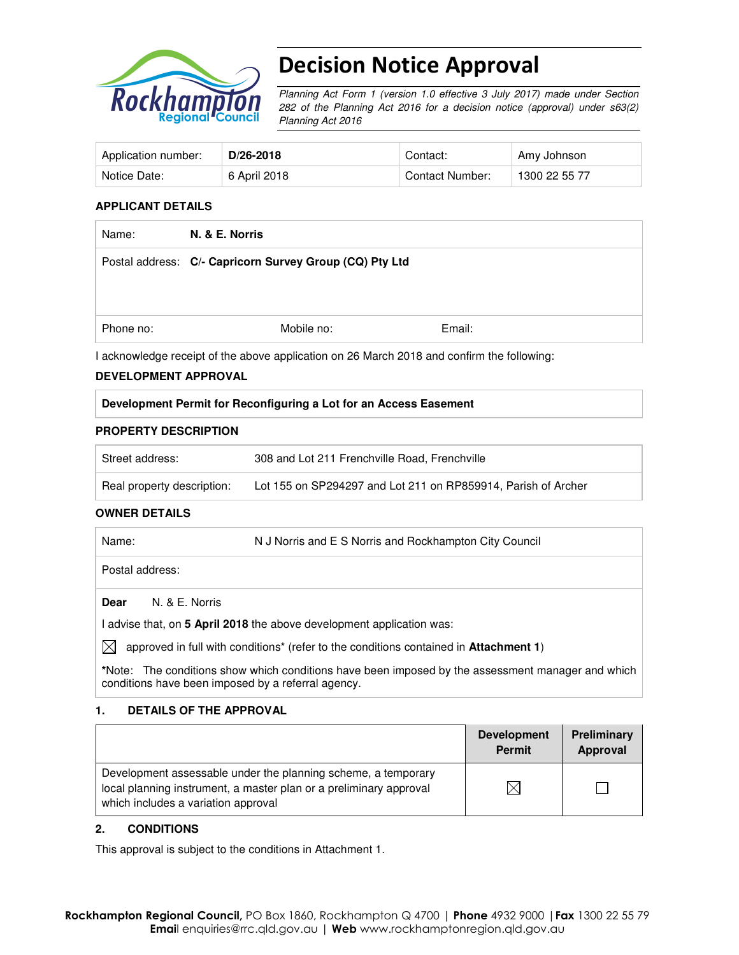

# Decision Notice Approval

Planning Act Form 1 (version 1.0 effective 3 July 2017) made under Section 282 of the Planning Act 2016 for a decision notice (approval) under s63(2) Planning Act 2016

| Application number: | D/26-2018    | Contact:        | Amy Johnson   |
|---------------------|--------------|-----------------|---------------|
| Notice Date:        | 6 April 2018 | Contact Number: | 1300 22 55 77 |

#### **APPLICANT DETAILS**

| Name:     | N. & E. Norris                                          |        |  |
|-----------|---------------------------------------------------------|--------|--|
|           | Postal address: C/- Capricorn Survey Group (CQ) Pty Ltd |        |  |
|           |                                                         |        |  |
| Phone no: | Mobile no:                                              | Email: |  |

I acknowledge receipt of the above application on 26 March 2018 and confirm the following:

#### **DEVELOPMENT APPROVAL**

#### **Development Permit for Reconfiguring a Lot for an Access Easement**

#### **PROPERTY DESCRIPTION**

| Street address:            | 308 and Lot 211 Frenchville Road, Frenchville                 |
|----------------------------|---------------------------------------------------------------|
| Real property description: | Lot 155 on SP294297 and Lot 211 on RP859914, Parish of Archer |

#### **OWNER DETAILS**

| Name:           | N J Norris and E S Norris and Rockhampton City Council |  |
|-----------------|--------------------------------------------------------|--|
| Postal address: |                                                        |  |
| <b>Dear</b>     | N. & E. Norris                                         |  |

I advise that, on **5 April 2018** the above development application was:

 $\boxtimes$  approved in full with conditions<sup>\*</sup> (refer to the conditions contained in **Attachment 1**)

**\***Note:The conditions show which conditions have been imposed by the assessment manager and which conditions have been imposed by a referral agency.

#### **1. DETAILS OF THE APPROVAL**

|                                                                                                                                                                            | <b>Development</b><br><b>Permit</b> | Preliminary<br>Approval |
|----------------------------------------------------------------------------------------------------------------------------------------------------------------------------|-------------------------------------|-------------------------|
| Development assessable under the planning scheme, a temporary<br>local planning instrument, a master plan or a preliminary approval<br>which includes a variation approval |                                     |                         |

#### **2. CONDITIONS**

This approval is subject to the conditions in Attachment 1.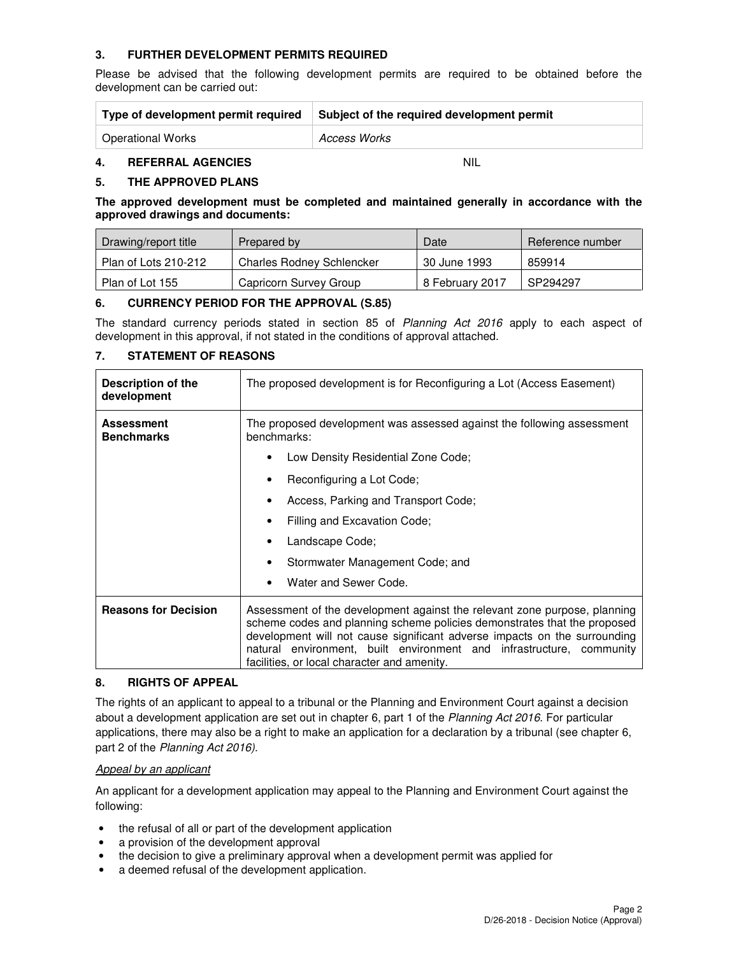## **3. FURTHER DEVELOPMENT PERMITS REQUIRED**

Please be advised that the following development permits are required to be obtained before the development can be carried out:

| Type of development permit required | Subject of the required development permit |
|-------------------------------------|--------------------------------------------|
| <b>Operational Works</b>            | Access Works                               |

## **4. REFERRAL AGENCIES** NIL

#### **5. THE APPROVED PLANS**

**The approved development must be completed and maintained generally in accordance with the approved drawings and documents:** 

| Drawing/report title | Prepared by                      | Date            | Reference number |
|----------------------|----------------------------------|-----------------|------------------|
| Plan of Lots 210-212 | <b>Charles Rodney Schlencker</b> | 30 June 1993    | 859914           |
| Plan of Lot 155      | Capricorn Survey Group           | 8 February 2017 | SP294297         |

#### **6. CURRENCY PERIOD FOR THE APPROVAL (S.85)**

The standard currency periods stated in section 85 of Planning Act 2016 apply to each aspect of development in this approval, if not stated in the conditions of approval attached.

#### **7. STATEMENT OF REASONS**

| Description of the<br>development      | The proposed development is for Reconfiguring a Lot (Access Easement)                                                                                                                                                                                                                                                                                     |  |  |  |
|----------------------------------------|-----------------------------------------------------------------------------------------------------------------------------------------------------------------------------------------------------------------------------------------------------------------------------------------------------------------------------------------------------------|--|--|--|
| <b>Assessment</b><br><b>Benchmarks</b> | The proposed development was assessed against the following assessment<br>benchmarks:                                                                                                                                                                                                                                                                     |  |  |  |
|                                        | Low Density Residential Zone Code;                                                                                                                                                                                                                                                                                                                        |  |  |  |
|                                        | Reconfiguring a Lot Code;                                                                                                                                                                                                                                                                                                                                 |  |  |  |
|                                        | Access, Parking and Transport Code;                                                                                                                                                                                                                                                                                                                       |  |  |  |
|                                        | Filling and Excavation Code;<br>٠                                                                                                                                                                                                                                                                                                                         |  |  |  |
|                                        | Landscape Code;<br>٠                                                                                                                                                                                                                                                                                                                                      |  |  |  |
|                                        | Stormwater Management Code; and                                                                                                                                                                                                                                                                                                                           |  |  |  |
|                                        | Water and Sewer Code.                                                                                                                                                                                                                                                                                                                                     |  |  |  |
| <b>Reasons for Decision</b>            | Assessment of the development against the relevant zone purpose, planning<br>scheme codes and planning scheme policies demonstrates that the proposed<br>development will not cause significant adverse impacts on the surrounding<br>natural environment, built environment and infrastructure, community<br>facilities, or local character and amenity. |  |  |  |

#### **8. RIGHTS OF APPEAL**

The rights of an applicant to appeal to a tribunal or the Planning and Environment Court against a decision about a development application are set out in chapter 6, part 1 of the Planning Act 2016. For particular applications, there may also be a right to make an application for a declaration by a tribunal (see chapter 6, part 2 of the Planning Act 2016).

#### Appeal by an applicant

An applicant for a development application may appeal to the Planning and Environment Court against the following:

- the refusal of all or part of the development application
- a provision of the development approval
- the decision to give a preliminary approval when a development permit was applied for
- a deemed refusal of the development application.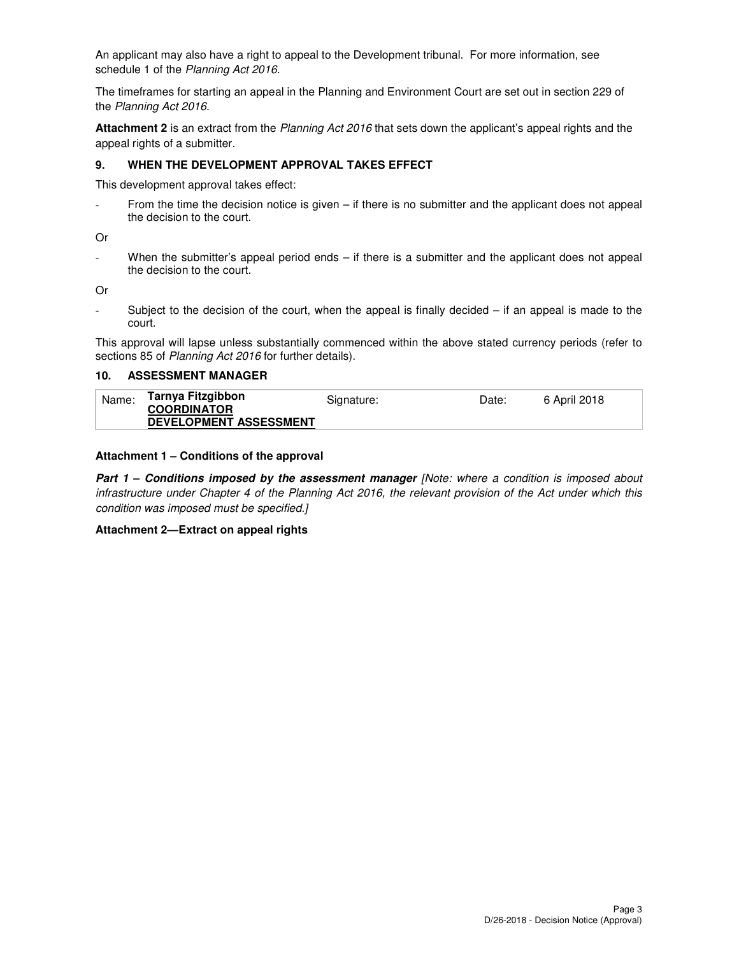An applicant may also have a right to appeal to the Development tribunal. For more information, see schedule 1 of the Planning Act 2016.

The timeframes for starting an appeal in the Planning and Environment Court are set out in section 229 of the Planning Act 2016.

**Attachment 2** is an extract from the Planning Act 2016 that sets down the applicant's appeal rights and the appeal rights of a submitter.

#### **9. WHEN THE DEVELOPMENT APPROVAL TAKES EFFECT**

This development approval takes effect:

From the time the decision notice is given  $-$  if there is no submitter and the applicant does not appeal the decision to the court.

Or

When the submitter's appeal period ends  $-$  if there is a submitter and the applicant does not appeal the decision to the court.

Or

- Subject to the decision of the court, when the appeal is finally decided – if an appeal is made to the court.

This approval will lapse unless substantially commenced within the above stated currency periods (refer to sections 85 of Planning Act 2016 for further details).

#### **10. ASSESSMENT MANAGER**

| Name: | Tarnya Fitzgibbon             | Signature: | Date: | 6 April 2018 |
|-------|-------------------------------|------------|-------|--------------|
|       | <b>COORDINATOR</b>            |            |       |              |
|       | <b>DEVELOPMENT ASSESSMENT</b> |            |       |              |

#### **Attachment 1 – Conditions of the approval**

**Part 1 – Conditions imposed by the assessment manager [Note: where a condition is imposed about** infrastructure under Chapter 4 of the Planning Act 2016, the relevant provision of the Act under which this condition was imposed must be specified.]

#### **Attachment 2—Extract on appeal rights**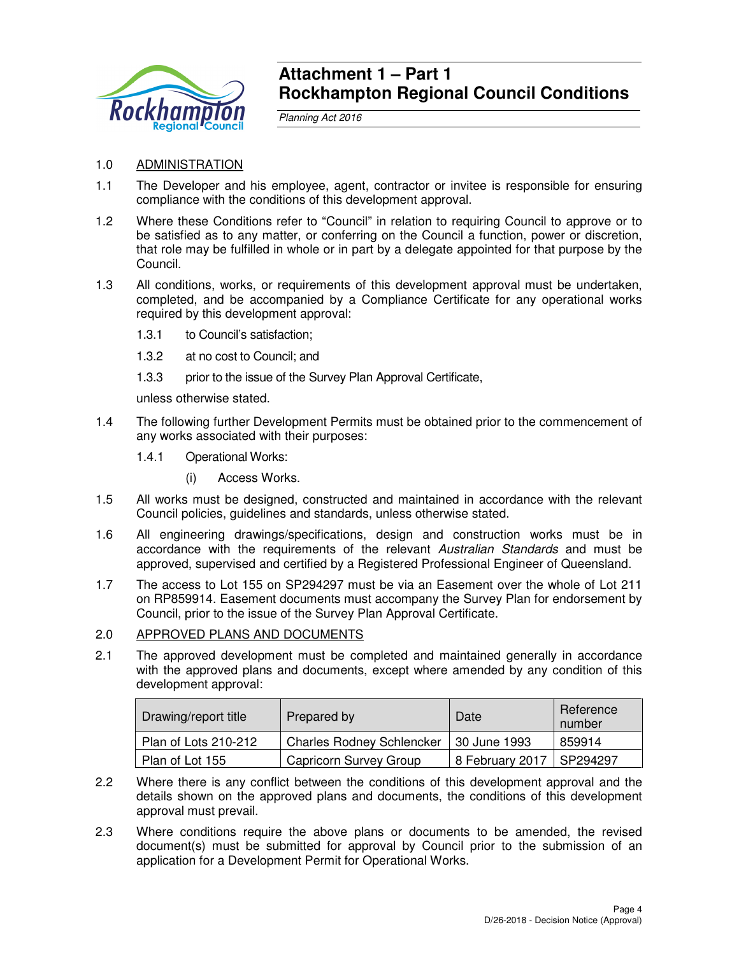

## **Attachment 1 – Part 1 Rockhampton Regional Council Conditions**

Planning Act 2016

## 1.0 ADMINISTRATION

- 1.1 The Developer and his employee, agent, contractor or invitee is responsible for ensuring compliance with the conditions of this development approval.
- 1.2 Where these Conditions refer to "Council" in relation to requiring Council to approve or to be satisfied as to any matter, or conferring on the Council a function, power or discretion, that role may be fulfilled in whole or in part by a delegate appointed for that purpose by the Council.
- 1.3 All conditions, works, or requirements of this development approval must be undertaken, completed, and be accompanied by a Compliance Certificate for any operational works required by this development approval:
	- 1.3.1 to Council's satisfaction;
	- 1.3.2 at no cost to Council; and
	- 1.3.3 prior to the issue of the Survey Plan Approval Certificate,

unless otherwise stated.

- 1.4 The following further Development Permits must be obtained prior to the commencement of any works associated with their purposes:
	- 1.4.1 Operational Works:
		- (i) Access Works.
- 1.5 All works must be designed, constructed and maintained in accordance with the relevant Council policies, guidelines and standards, unless otherwise stated.
- 1.6 All engineering drawings/specifications, design and construction works must be in accordance with the requirements of the relevant Australian Standards and must be approved, supervised and certified by a Registered Professional Engineer of Queensland.
- 1.7 The access to Lot 155 on SP294297 must be via an Easement over the whole of Lot 211 on RP859914. Easement documents must accompany the Survey Plan for endorsement by Council, prior to the issue of the Survey Plan Approval Certificate.

## 2.0 APPROVED PLANS AND DOCUMENTS

2.1 The approved development must be completed and maintained generally in accordance with the approved plans and documents, except where amended by any condition of this development approval:

| Drawing/report title | Prepared by                      | Date                       | Reference<br>number |
|----------------------|----------------------------------|----------------------------|---------------------|
| Plan of Lots 210-212 | <b>Charles Rodney Schlencker</b> | 30 June 1993               | 859914              |
| Plan of Lot 155      | Capricorn Survey Group           | 8 February 2017   SP294297 |                     |

- 2.2 Where there is any conflict between the conditions of this development approval and the details shown on the approved plans and documents, the conditions of this development approval must prevail.
- 2.3 Where conditions require the above plans or documents to be amended, the revised document(s) must be submitted for approval by Council prior to the submission of an application for a Development Permit for Operational Works.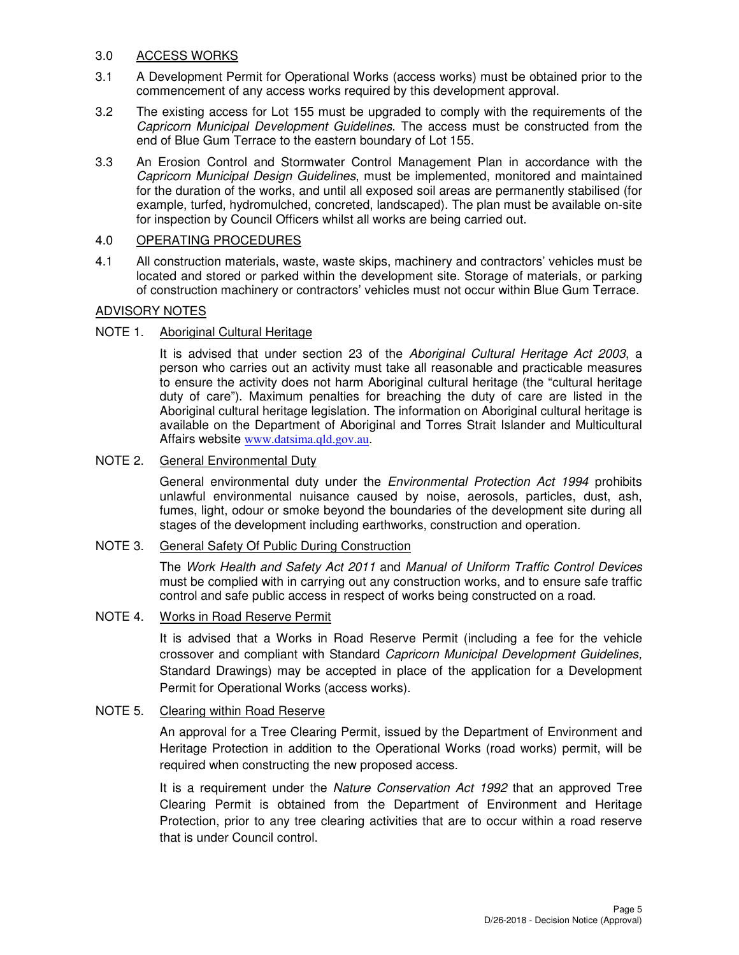## 3.0 ACCESS WORKS

- 3.1 A Development Permit for Operational Works (access works) must be obtained prior to the commencement of any access works required by this development approval.
- 3.2 The existing access for Lot 155 must be upgraded to comply with the requirements of the Capricorn Municipal Development Guidelines. The access must be constructed from the end of Blue Gum Terrace to the eastern boundary of Lot 155.
- 3.3 An Erosion Control and Stormwater Control Management Plan in accordance with the Capricorn Municipal Design Guidelines, must be implemented, monitored and maintained for the duration of the works, and until all exposed soil areas are permanently stabilised (for example, turfed, hydromulched, concreted, landscaped). The plan must be available on-site for inspection by Council Officers whilst all works are being carried out.

## 4.0 OPERATING PROCEDURES

4.1 All construction materials, waste, waste skips, machinery and contractors' vehicles must be located and stored or parked within the development site. Storage of materials, or parking of construction machinery or contractors' vehicles must not occur within Blue Gum Terrace.

## ADVISORY NOTES

## NOTE 1. Aboriginal Cultural Heritage

It is advised that under section 23 of the Aboriginal Cultural Heritage Act 2003, a person who carries out an activity must take all reasonable and practicable measures to ensure the activity does not harm Aboriginal cultural heritage (the "cultural heritage duty of care"). Maximum penalties for breaching the duty of care are listed in the Aboriginal cultural heritage legislation. The information on Aboriginal cultural heritage is available on the Department of Aboriginal and Torres Strait Islander and Multicultural Affairs website www.datsima.qld.gov.au.

## NOTE 2. General Environmental Duty

General environmental duty under the *Environmental Protection Act 1994* prohibits unlawful environmental nuisance caused by noise, aerosols, particles, dust, ash, fumes, light, odour or smoke beyond the boundaries of the development site during all stages of the development including earthworks, construction and operation.

#### NOTE 3. General Safety Of Public During Construction

The Work Health and Safety Act 2011 and Manual of Uniform Traffic Control Devices must be complied with in carrying out any construction works, and to ensure safe traffic control and safe public access in respect of works being constructed on a road.

## NOTE 4. Works in Road Reserve Permit

It is advised that a Works in Road Reserve Permit (including a fee for the vehicle crossover and compliant with Standard Capricorn Municipal Development Guidelines, Standard Drawings) may be accepted in place of the application for a Development Permit for Operational Works (access works).

## NOTE 5. Clearing within Road Reserve

An approval for a Tree Clearing Permit, issued by the Department of Environment and Heritage Protection in addition to the Operational Works (road works) permit, will be required when constructing the new proposed access.

It is a requirement under the Nature Conservation Act 1992 that an approved Tree Clearing Permit is obtained from the Department of Environment and Heritage Protection, prior to any tree clearing activities that are to occur within a road reserve that is under Council control.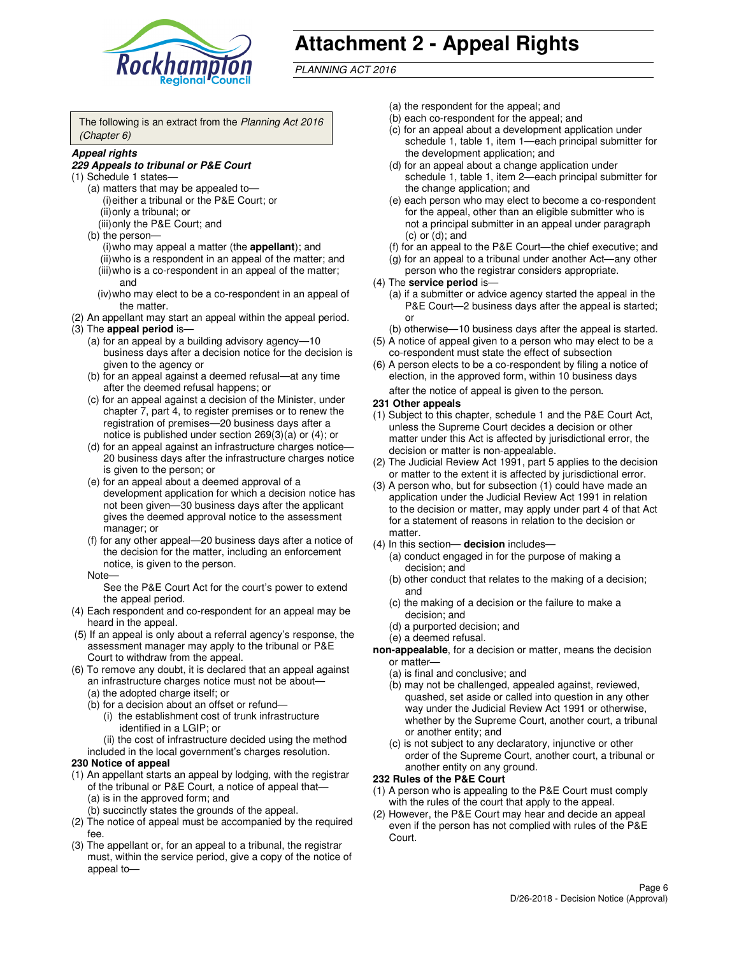

# **Attachment 2 - Appeal Rights**

PLANNING ACT 2016

The following is an extract from the Planning Act 2016 (Chapter 6)

#### **Appeal rights**

#### **229 Appeals to tribunal or P&E Court**

- (1) Schedule 1 states—
	- (a) matters that may be appealed to— (i) either a tribunal or the P&E Court; or (ii) only a tribunal; or (iii) only the P&E Court; and
	- (b) the person—
		- (i) who may appeal a matter (the **appellant**); and
		- (ii) who is a respondent in an appeal of the matter; and (iii) who is a co-respondent in an appeal of the matter; and
		- (iv) who may elect to be a co-respondent in an appeal of the matter.
- (2) An appellant may start an appeal within the appeal period.
- (3) The **appeal period** is—
	- (a) for an appeal by a building advisory agency—10 business days after a decision notice for the decision is given to the agency or
	- (b) for an appeal against a deemed refusal—at any time after the deemed refusal happens; or
	- (c) for an appeal against a decision of the Minister, under chapter 7, part 4, to register premises or to renew the registration of premises—20 business days after a notice is published under section 269(3)(a) or (4); or
	- (d) for an appeal against an infrastructure charges notice— 20 business days after the infrastructure charges notice is given to the person; or
	- (e) for an appeal about a deemed approval of a development application for which a decision notice has not been given—30 business days after the applicant gives the deemed approval notice to the assessment manager; or
	- (f) for any other appeal—20 business days after a notice of the decision for the matter, including an enforcement notice, is given to the person.
	- Note—

See the P&E Court Act for the court's power to extend the appeal period.

- (4) Each respondent and co-respondent for an appeal may be heard in the appeal.
- (5) If an appeal is only about a referral agency's response, the assessment manager may apply to the tribunal or P&E Court to withdraw from the appeal.
- (6) To remove any doubt, it is declared that an appeal against an infrastructure charges notice must not be about—
	- (a) the adopted charge itself; or
	- (b) for a decision about an offset or refund—
		- (i) the establishment cost of trunk infrastructure identified in a LGIP; or
		- (ii) the cost of infrastructure decided using the method
- included in the local government's charges resolution. **230 Notice of appeal**
- (1) An appellant starts an appeal by lodging, with the registrar of the tribunal or P&E Court, a notice of appeal that—
	- (a) is in the approved form; and
	- (b) succinctly states the grounds of the appeal.
- (2) The notice of appeal must be accompanied by the required fee.
- (3) The appellant or, for an appeal to a tribunal, the registrar must, within the service period, give a copy of the notice of appeal to—
- (a) the respondent for the appeal; and
- (b) each co-respondent for the appeal; and
- (c) for an appeal about a development application under schedule 1, table 1, item 1—each principal submitter for the development application; and
- (d) for an appeal about a change application under schedule 1, table 1, item 2—each principal submitter for the change application; and
- (e) each person who may elect to become a co-respondent for the appeal, other than an eligible submitter who is not a principal submitter in an appeal under paragraph  $(c)$  or  $(d)$ ; and
- (f) for an appeal to the P&E Court—the chief executive; and
- (g) for an appeal to a tribunal under another Act—any other person who the registrar considers appropriate.
- (4) The **service period** is—
	- (a) if a submitter or advice agency started the appeal in the P&E Court—2 business days after the appeal is started; or
	- (b) otherwise—10 business days after the appeal is started.
- (5) A notice of appeal given to a person who may elect to be a co-respondent must state the effect of subsection
- (6) A person elects to be a co-respondent by filing a notice of election, in the approved form, within 10 business days after the notice of appeal is given to the person*.*
- **231 Other appeals**
- (1) Subject to this chapter, schedule 1 and the P&E Court Act, unless the Supreme Court decides a decision or other matter under this Act is affected by jurisdictional error, the decision or matter is non-appealable.
- (2) The Judicial Review Act 1991, part 5 applies to the decision or matter to the extent it is affected by jurisdictional error.
- (3) A person who, but for subsection (1) could have made an application under the Judicial Review Act 1991 in relation to the decision or matter, may apply under part 4 of that Act for a statement of reasons in relation to the decision or matter.
- (4) In this section— **decision** includes—
	- (a) conduct engaged in for the purpose of making a decision; and
	- (b) other conduct that relates to the making of a decision; and
	- (c) the making of a decision or the failure to make a decision; and
	- (d) a purported decision; and
	- (e) a deemed refusal.

**non-appealable**, for a decision or matter, means the decision or matter—

- (a) is final and conclusive; and
- (b) may not be challenged, appealed against, reviewed, quashed, set aside or called into question in any other way under the Judicial Review Act 1991 or otherwise, whether by the Supreme Court, another court, a tribunal or another entity; and
- (c) is not subject to any declaratory, injunctive or other order of the Supreme Court, another court, a tribunal or another entity on any ground.

#### **232 Rules of the P&E Court**

- (1) A person who is appealing to the P&E Court must comply with the rules of the court that apply to the appeal.
- (2) However, the P&E Court may hear and decide an appeal even if the person has not complied with rules of the P&E Court.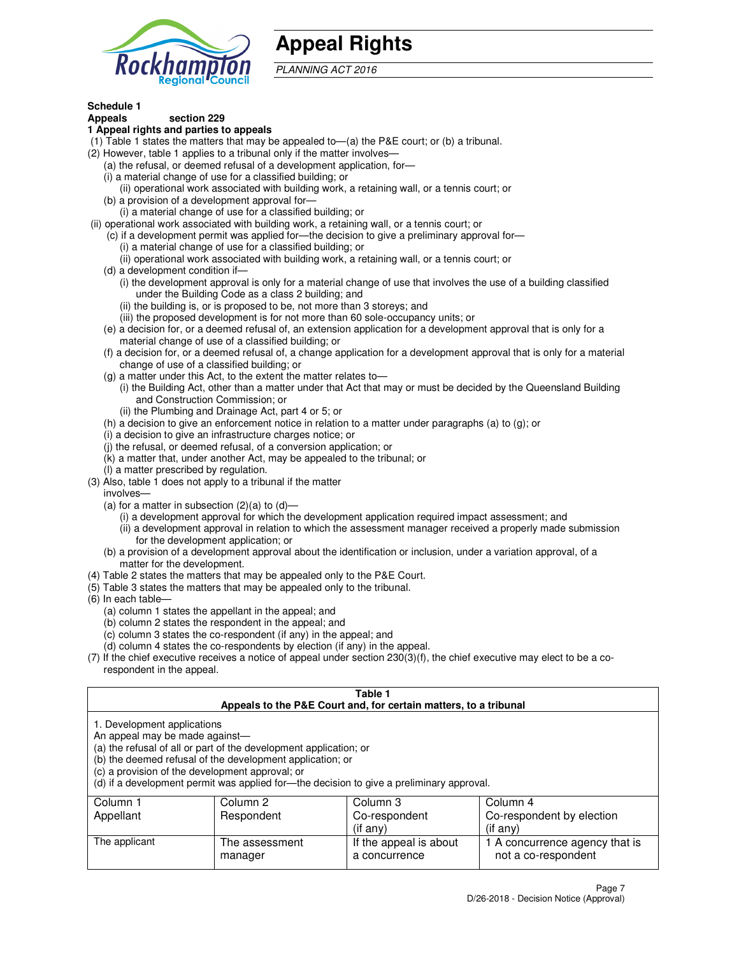

## **Appeal Rights**

PLANNING ACT 2016

## **Schedule 1**

## **Appeals section 229**

#### **1 Appeal rights and parties to appeals**

- (1) Table 1 states the matters that may be appealed to—(a) the P&E court; or (b) a tribunal.
- (2) However, table 1 applies to a tribunal only if the matter involves—
	- (a) the refusal, or deemed refusal of a development application, for—
	- (i) a material change of use for a classified building; or
	- (ii) operational work associated with building work, a retaining wall, or a tennis court; or
	- (b) a provision of a development approval for—
	- (i) a material change of use for a classified building; or
- (ii) operational work associated with building work, a retaining wall, or a tennis court; or
	- (c) if a development permit was applied for—the decision to give a preliminary approval for—
		- (i) a material change of use for a classified building; or
		- (ii) operational work associated with building work, a retaining wall, or a tennis court; or
	- (d) a development condition if—
		- (i) the development approval is only for a material change of use that involves the use of a building classified under the Building Code as a class 2 building; and
		- (ii) the building is, or is proposed to be, not more than 3 storeys; and
		- (iii) the proposed development is for not more than 60 sole-occupancy units; or
	- (e) a decision for, or a deemed refusal of, an extension application for a development approval that is only for a material change of use of a classified building; or
	- (f) a decision for, or a deemed refusal of, a change application for a development approval that is only for a material change of use of a classified building; or
	- (g) a matter under this Act, to the extent the matter relates to—
		- (i) the Building Act, other than a matter under that Act that may or must be decided by the Queensland Building and Construction Commission; or
		- (ii) the Plumbing and Drainage Act, part 4 or 5; or
	- (h) a decision to give an enforcement notice in relation to a matter under paragraphs (a) to (g); or
	- (i) a decision to give an infrastructure charges notice; or
	- (j) the refusal, or deemed refusal, of a conversion application; or
	- (k) a matter that, under another Act, may be appealed to the tribunal; or
	- (l) a matter prescribed by regulation.
- (3) Also, table 1 does not apply to a tribunal if the matter
	- involves—
	- (a) for a matter in subsection  $(2)(a)$  to  $(d)$ 
		- (i) a development approval for which the development application required impact assessment; and
		- (ii) a development approval in relation to which the assessment manager received a properly made submission for the development application; or
	- (b) a provision of a development approval about the identification or inclusion, under a variation approval, of a matter for the development.
- (4) Table 2 states the matters that may be appealed only to the P&E Court.
- (5) Table 3 states the matters that may be appealed only to the tribunal.
- (6) In each table—
	- (a) column 1 states the appellant in the appeal; and
	- (b) column 2 states the respondent in the appeal; and
	- (c) column 3 states the co-respondent (if any) in the appeal; and
	- (d) column 4 states the co-respondents by election (if any) in the appeal.
- $(7)$  If the chief executive receives a notice of appeal under section  $230(3)(f)$ , the chief executive may elect to be a corespondent in the appeal.

| Table 1<br>Appeals to the P&E Court and, for certain matters, to a tribunal                                      |                                                                                                                                |                                                                                          |                                                       |  |
|------------------------------------------------------------------------------------------------------------------|--------------------------------------------------------------------------------------------------------------------------------|------------------------------------------------------------------------------------------|-------------------------------------------------------|--|
| 1. Development applications<br>An appeal may be made against-<br>(c) a provision of the development approval; or | (a) the refusal of all or part of the development application; or<br>(b) the deemed refusal of the development application; or | (d) if a development permit was applied for—the decision to give a preliminary approval. |                                                       |  |
| Column 1                                                                                                         | Column 2                                                                                                                       | Column 3                                                                                 | Column 4                                              |  |
| Appellant                                                                                                        | Respondent                                                                                                                     | Co-respondent                                                                            | Co-respondent by election                             |  |
| (if any)<br>$($ if any $)$                                                                                       |                                                                                                                                |                                                                                          |                                                       |  |
| The applicant                                                                                                    | The assessment<br>manager                                                                                                      | If the appeal is about<br>a concurrence                                                  | 1 A concurrence agency that is<br>not a co-respondent |  |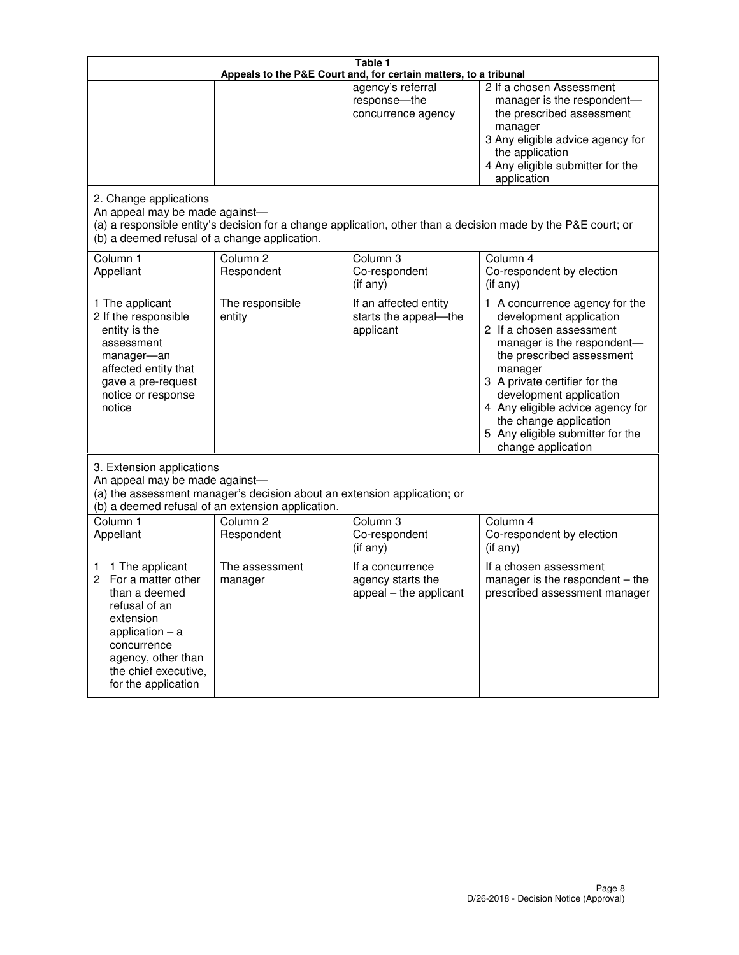| Table 1<br>Appeals to the P&E Court and, for certain matters, to a tribunal                                                                                                                             |                                                                                                                               |                                                                 |                                                                                                                                                                                                                                                                                                                                                 |  |
|---------------------------------------------------------------------------------------------------------------------------------------------------------------------------------------------------------|-------------------------------------------------------------------------------------------------------------------------------|-----------------------------------------------------------------|-------------------------------------------------------------------------------------------------------------------------------------------------------------------------------------------------------------------------------------------------------------------------------------------------------------------------------------------------|--|
|                                                                                                                                                                                                         |                                                                                                                               | agency's referral<br>response-the<br>concurrence agency         | 2 If a chosen Assessment<br>manager is the respondent-<br>the prescribed assessment<br>manager<br>3 Any eligible advice agency for<br>the application<br>4 Any eligible submitter for the<br>application                                                                                                                                        |  |
| 2. Change applications<br>An appeal may be made against-<br>(b) a deemed refusal of a change application.                                                                                               |                                                                                                                               |                                                                 | (a) a responsible entity's decision for a change application, other than a decision made by the P&E court; or                                                                                                                                                                                                                                   |  |
| Column 1<br>Appellant                                                                                                                                                                                   | Column <sub>2</sub><br>Respondent                                                                                             | Column <sub>3</sub><br>Co-respondent<br>(if any)                | Column 4<br>Co-respondent by election<br>(if any)                                                                                                                                                                                                                                                                                               |  |
| 1 The applicant<br>2 If the responsible<br>entity is the<br>assessment<br>manager-an<br>affected entity that<br>gave a pre-request<br>notice or response<br>notice                                      | The responsible<br>entity                                                                                                     | If an affected entity<br>starts the appeal-the<br>applicant     | 1 A concurrence agency for the<br>development application<br>2 If a chosen assessment<br>manager is the respondent-<br>the prescribed assessment<br>manager<br>3 A private certifier for the<br>development application<br>4 Any eligible advice agency for<br>the change application<br>5 Any eligible submitter for the<br>change application |  |
| 3. Extension applications<br>An appeal may be made against-                                                                                                                                             | (a) the assessment manager's decision about an extension application; or<br>(b) a deemed refusal of an extension application. |                                                                 |                                                                                                                                                                                                                                                                                                                                                 |  |
| Column 1<br>Appellant                                                                                                                                                                                   | Column <sub>2</sub><br>Respondent                                                                                             | Column 3<br>Co-respondent<br>(if any)                           | Column 4<br>Co-respondent by election<br>(if any)                                                                                                                                                                                                                                                                                               |  |
| 1 The applicant<br>1<br>For a matter other<br>2<br>than a deemed<br>refusal of an<br>extension<br>application $-$ a<br>concurrence<br>agency, other than<br>the chief executive,<br>for the application | The assessment<br>manager                                                                                                     | If a concurrence<br>agency starts the<br>appeal - the applicant | If a chosen assessment<br>manager is the respondent $-$ the<br>prescribed assessment manager                                                                                                                                                                                                                                                    |  |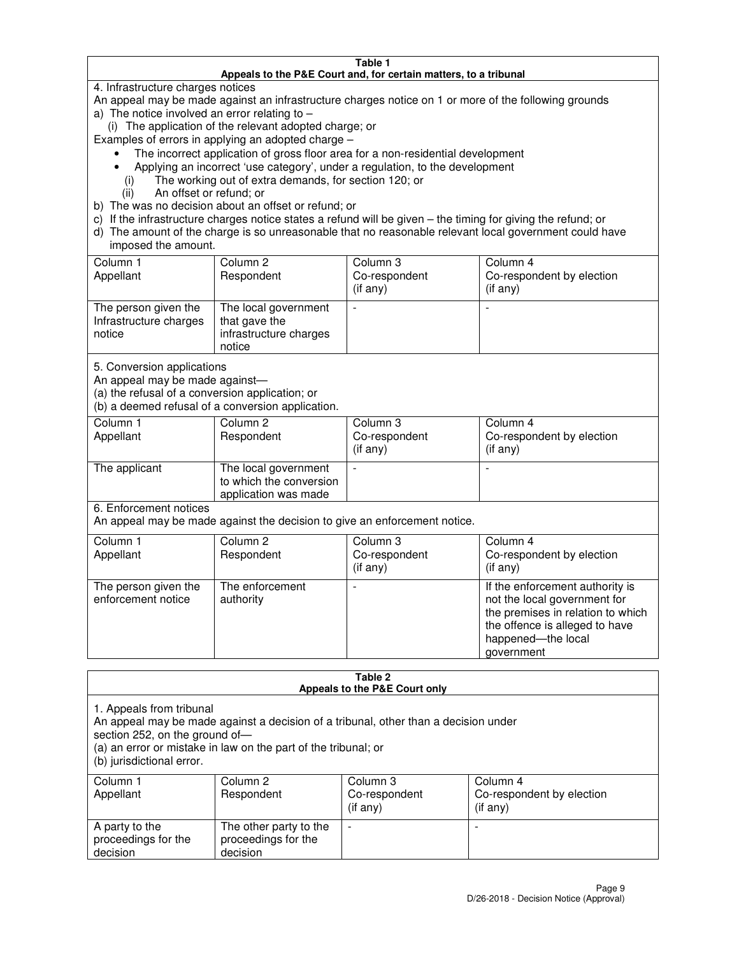#### **Table 1 Appeals to the P&E Court and, for certain matters, to a tribunal**

4. Infrastructure charges notices

An appeal may be made against an infrastructure charges notice on 1 or more of the following grounds

- a) The notice involved an error relating to
	- (i) The application of the relevant adopted charge; or
- Examples of errors in applying an adopted charge
	- The incorrect application of gross floor area for a non-residential development
	- Applying an incorrect 'use category', under a regulation, to the development
		- (i) The working out of extra demands, for section 120; or
		- (ii) An offset or refund; or
- b) The was no decision about an offset or refund; or
- c) If the infrastructure charges notice states a refund will be given the timing for giving the refund; or
- d) The amount of the charge is so unreasonable that no reasonable relevant local government could have imposed the amount.

| Column 1<br>Appellant                                    | Column 2<br>Respondent                                                    | Column 3<br>Co-respondent<br>$($ if any $)$ | Column 4<br>Co-respondent by election<br>$($ if any $)$ |
|----------------------------------------------------------|---------------------------------------------------------------------------|---------------------------------------------|---------------------------------------------------------|
| The person given the<br>Infrastructure charges<br>notice | The local government<br>that gave the<br>infrastructure charges<br>notice |                                             |                                                         |

5. Conversion applications

An appeal may be made against—

(a) the refusal of a conversion application; or

(b) a deemed refusal of a conversion application.

| Column 1<br>Appellant | Column 2<br>Respondent                                                  | Column 3<br>Co-respondent<br>$($ if any $)$ | Column 4<br>Co-respondent by election<br>$($ if any $)$ |
|-----------------------|-------------------------------------------------------------------------|---------------------------------------------|---------------------------------------------------------|
| The applicant         | The local government<br>to which the conversion<br>application was made |                                             |                                                         |

6. Enforcement notices

An appeal may be made against the decision to give an enforcement notice.

| Column 1<br>Appellant                      | Column 2<br>Respondent       | Column 3<br>Co-respondent<br>$($ if any $)$ | Column 4<br>Co-respondent by election<br>(if any)                                                                                                                          |
|--------------------------------------------|------------------------------|---------------------------------------------|----------------------------------------------------------------------------------------------------------------------------------------------------------------------------|
| The person given the<br>enforcement notice | The enforcement<br>authority |                                             | If the enforcement authority is<br>not the local government for<br>the premises in relation to which<br>the offence is alleged to have<br>happened-the local<br>government |

#### **Table 2 Appeals to the P&E Court only**

1. Appeals from tribunal

An appeal may be made against a decision of a tribunal, other than a decision under

section 252, on the ground of—

(a) an error or mistake in law on the part of the tribunal; or

(b) jurisdictional error.

| Column 1<br>Appellant                             | Column 2<br>Respondent                                    | Column 3<br>Co-respondent<br>(if any) | Column 4<br>Co-respondent by election<br>(if any) |
|---------------------------------------------------|-----------------------------------------------------------|---------------------------------------|---------------------------------------------------|
| A party to the<br>proceedings for the<br>decision | The other party to the<br>proceedings for the<br>decision | -                                     |                                                   |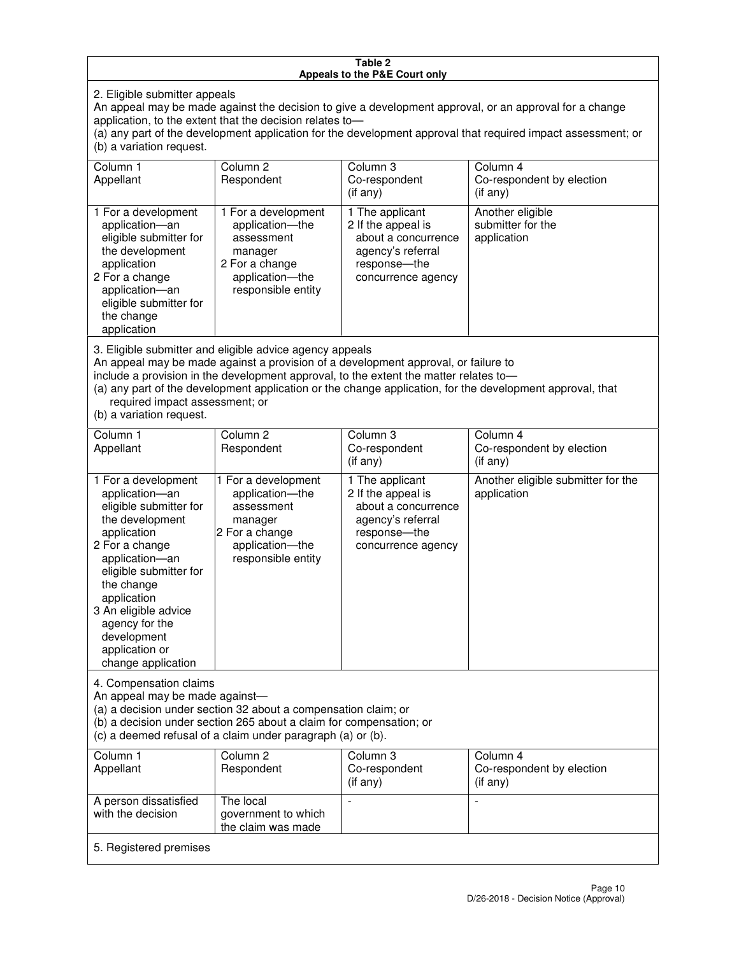#### **Table 2 Appeals to the P&E Court only**

2. Eligible submitter appeals

An appeal may be made against the decision to give a development approval, or an approval for a change application, to the extent that the decision relates to—

(a) any part of the development application for the development approval that required impact assessment; or (b) a variation request.

| Column 1<br>Appellant                                                                                                                                                                                                                                                                                                                                                                                              | Column <sub>2</sub><br>Respondent                                                                                          | Column 3<br>Co-respondent<br>(i f any)                                                                                   | Column 4<br>Co-respondent by election<br>(i f any)   |  |
|--------------------------------------------------------------------------------------------------------------------------------------------------------------------------------------------------------------------------------------------------------------------------------------------------------------------------------------------------------------------------------------------------------------------|----------------------------------------------------------------------------------------------------------------------------|--------------------------------------------------------------------------------------------------------------------------|------------------------------------------------------|--|
| 1 For a development<br>application-an<br>eligible submitter for<br>the development<br>application<br>2 For a change<br>application-an<br>eligible submitter for<br>the change<br>application                                                                                                                                                                                                                       | 1 For a development<br>application-the<br>assessment<br>manager<br>2 For a change<br>application-the<br>responsible entity | 1 The applicant<br>2 If the appeal is<br>about a concurrence<br>agency's referral<br>response--the<br>concurrence agency | Another eligible<br>submitter for the<br>application |  |
| 3. Eligible submitter and eligible advice agency appeals<br>An appeal may be made against a provision of a development approval, or failure to<br>include a provision in the development approval, to the extent the matter relates to-<br>(a) any part of the development application or the change application, for the development approval, that<br>required impact assessment; or<br>(b) a variation request. |                                                                                                                            |                                                                                                                          |                                                      |  |
| Column 1<br>Appellant                                                                                                                                                                                                                                                                                                                                                                                              | Column <sub>2</sub><br>Respondent                                                                                          | Column 3<br>Co-respondent                                                                                                | Column 4<br>Co-respondent by election                |  |
|                                                                                                                                                                                                                                                                                                                                                                                                                    |                                                                                                                            | $($ if any $)$                                                                                                           | $($ if any $)$                                       |  |

| npponant                                                                                                                                                                                                                                                                                      | <b>I</b> IGSPOHUGHT                                                                                                        | <b>OUTGSPUNGTIL</b><br>(if any)                                                                                         | OUTCSPONDENT Dy CICCIION<br>$(i$ f any)           |  |
|-----------------------------------------------------------------------------------------------------------------------------------------------------------------------------------------------------------------------------------------------------------------------------------------------|----------------------------------------------------------------------------------------------------------------------------|-------------------------------------------------------------------------------------------------------------------------|---------------------------------------------------|--|
| 1 For a development<br>application-an<br>eligible submitter for<br>the development<br>application<br>2 For a change<br>application-an<br>eligible submitter for<br>the change<br>application<br>3 An eligible advice<br>agency for the<br>development<br>application or<br>change application | 1 For a development<br>application-the<br>assessment<br>manager<br>2 For a change<br>application-the<br>responsible entity | 1 The applicant<br>2 If the appeal is<br>about a concurrence<br>agency's referral<br>response—the<br>concurrence agency | Another eligible submitter for the<br>application |  |
| 4. Compensation claims<br>An appeal may be made against-<br>(a) a decision under section 32 about a compensation claim; or                                                                                                                                                                    |                                                                                                                            |                                                                                                                         |                                                   |  |

(b) a decision under section 265 about a claim for compensation; or

 $\overrightarrow{c}$  (c) a deemed refusal of a claim under paragraph (a) or (b).

| Column 1<br>Appellant                      | Column 2<br>Respondent                                 | Column 3<br>Co-respondent<br>$($ if any $)$ | Column 4<br>Co-respondent by election<br>$($ if any $)$ |
|--------------------------------------------|--------------------------------------------------------|---------------------------------------------|---------------------------------------------------------|
| A person dissatisfied<br>with the decision | The local<br>government to which<br>the claim was made |                                             |                                                         |
| 5. Registered premises                     |                                                        |                                             |                                                         |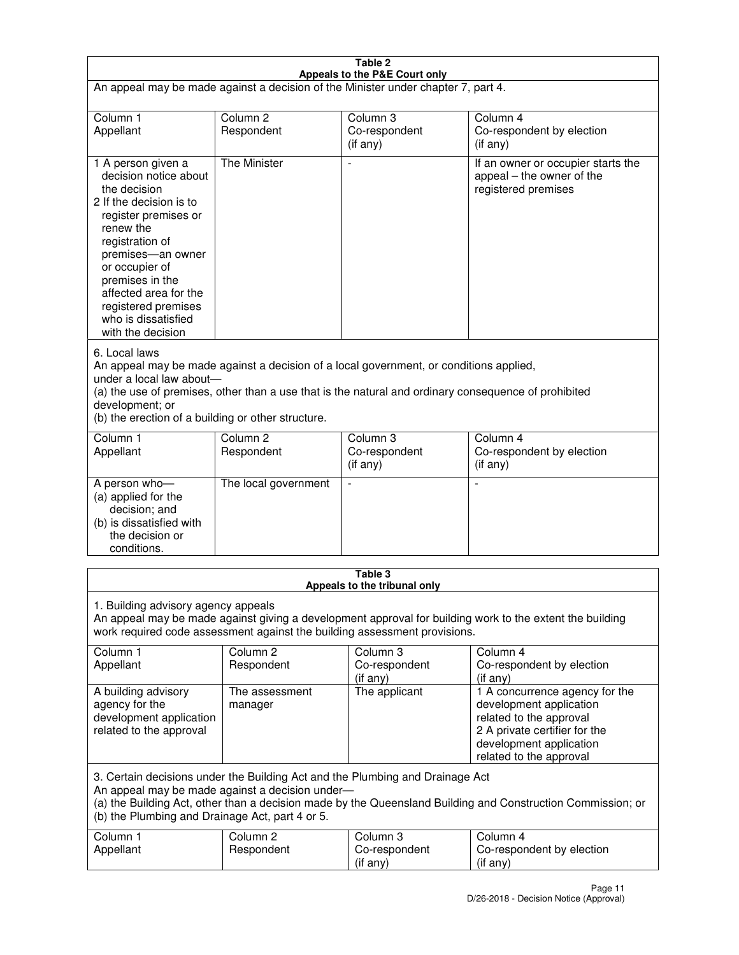| Table 2                                                                                                                                                                                                                                                                                                              |                                   |                                         |                                                                                                                                                                             |  |
|----------------------------------------------------------------------------------------------------------------------------------------------------------------------------------------------------------------------------------------------------------------------------------------------------------------------|-----------------------------------|-----------------------------------------|-----------------------------------------------------------------------------------------------------------------------------------------------------------------------------|--|
| Appeals to the P&E Court only<br>An appeal may be made against a decision of the Minister under chapter 7, part 4.                                                                                                                                                                                                   |                                   |                                         |                                                                                                                                                                             |  |
| Column 1                                                                                                                                                                                                                                                                                                             | Column <sub>2</sub>               | Column <sub>3</sub>                     | Column 4                                                                                                                                                                    |  |
| Appellant                                                                                                                                                                                                                                                                                                            | Respondent                        | Co-respondent<br>(if any)               | Co-respondent by election<br>(if any)                                                                                                                                       |  |
| 1 A person given a<br>decision notice about<br>the decision<br>2 If the decision is to<br>register premises or<br>renew the<br>registration of<br>premises-an owner<br>or occupier of<br>premises in the<br>affected area for the<br>registered premises<br>who is dissatisfied<br>with the decision                 | <b>The Minister</b>               | ÷,                                      | If an owner or occupier starts the<br>appeal – the owner of the<br>registered premises                                                                                      |  |
| 6. Local laws<br>An appeal may be made against a decision of a local government, or conditions applied,<br>under a local law about-<br>(a) the use of premises, other than a use that is the natural and ordinary consequence of prohibited<br>development; or<br>(b) the erection of a building or other structure. |                                   |                                         |                                                                                                                                                                             |  |
| Column 1<br>Appellant                                                                                                                                                                                                                                                                                                | Column 2<br>Respondent            | Column 3<br>Co-respondent<br>(if any)   | Column 4<br>Co-respondent by election<br>(if any)                                                                                                                           |  |
| A person who-<br>(a) applied for the<br>decision; and<br>(b) is dissatisfied with<br>the decision or<br>conditions.                                                                                                                                                                                                  | The local government              |                                         |                                                                                                                                                                             |  |
|                                                                                                                                                                                                                                                                                                                      |                                   | Table 3<br>Appeals to the tribunal only |                                                                                                                                                                             |  |
| 1. Building advisory agency appeals<br>An appeal may be made against giving a development approval for building work to the extent the building<br>work required code assessment against the building assessment provisions.                                                                                         |                                   |                                         |                                                                                                                                                                             |  |
| Column 1<br>Appellant                                                                                                                                                                                                                                                                                                | Column <sub>2</sub><br>Respondent | Column 3<br>Co-respondent<br>(if any)   | Column 4<br>Co-respondent by election<br>(if any)                                                                                                                           |  |
| A building advisory<br>agency for the<br>development application<br>related to the approval                                                                                                                                                                                                                          | The assessment<br>manager         | The applicant                           | 1 A concurrence agency for the<br>development application<br>related to the approval<br>2 A private certifier for the<br>development application<br>related to the approval |  |
| 3. Certain decisions under the Building Act and the Plumbing and Drainage Act<br>An appeal may be made against a decision under-<br>(a) the Building Act, other than a decision made by the Queensland Building and Construction Commission; or<br>(b) the Plumbing and Drainage Act, part 4 or 5.                   |                                   |                                         |                                                                                                                                                                             |  |
| Column 1<br>Appellant                                                                                                                                                                                                                                                                                                | Column <sub>2</sub><br>Respondent | Column 3<br>Co-respondent<br>(if any)   | Column 4<br>Co-respondent by election<br>(if any)                                                                                                                           |  |